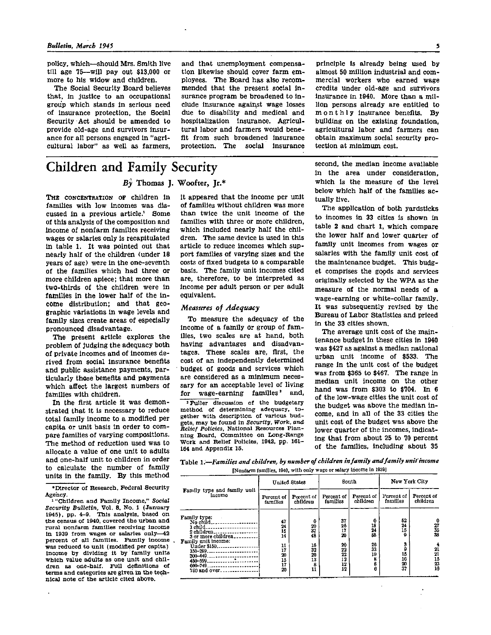policy, which-should Mrs. Smith live till age  $75$ —will pay out \$13,000 or more to his widow and children.

The Social Security Board believes that, in justice to an occupational group which stands in serious need of insurance protection, the Social Security Act should be amended to provide old-age and survivors insurance for all persons engaged in "agricultural labor" as well as farmers,

**Children and Family Security**<br>*By* Thomas J. Woofter, Jr.\*

THE CONCENTRATION OF children in families with low incomes was discussed in a previous article.<sup>1</sup> Some of this analysis of the composition and income of nonfarm families receiving wages or salaries only is recapitulated in table 1. It was pointed out that nearly half of the children (under 18 years of age) were in the one-seventh of the families which had three or more children apiece; that more than two-thirds of the children were in families in the lower half of the income distribution; and that geographic variations in wage levels and family sizes create areas of especially pronounced disadvantage.

The present article explores the problem of Judging the adequacy both of private incomes and of incomes derived from social insurance benefits and public assistance payments, particularly those benefits and payments which affect the largest numbers of families with children.

In the first article it was demonstrated that it is necessary to reduce total family income to a modified per capita or unit basis in order to compare families of varying compositions. The method of reduction used was to allocate a value of one unit to adults and one-half unit to children in order to calculate the number of family units in the family. By this method

\*Director of Research, Federal Security<br>Agency.<br><sup>1</sup> "Children and Family Income," Social

Security Bulletin, Vol. 8, No. 1 (January 1945), pp. 4-9. This analysis, based on the census of 1940, covered the urban and rural nonfarm families receiving income in 1939 from wages or salaries only—<sup>42</sup> percent of all families. Family income, was reduced to unit (modified per capita) income by dividing it by family units which value adults as one unit and children as one-half. Full definitions of terms and categories are given in the technical note of the article cited above.

it appeared that the income per unit of families without children was more than twice the unit income of the families with three or more children, which included nearly half the children. The same device is used in this article to reduce incomes which support families of varying sizes and the costs of fixed budgets to a comparable basis. The family unit incomes cited are, therefore, to be interpreted as income per adult person or per adult equivalent.

and that unemployment compensa-

tion likewise should cover farm em-

ployees. The Board has also recom-

mended that the present social in-

surance program be broadened to in-

clude insurance against wage losses

due to disability and medical and

hospitalization insurance. Agricul-

tural labor and farmers would bene-

fit from such broadened insurance

protection. The social insurance

## *Measures of Adequacy*

To measure the adequacy of the income of a family or group of families, two scales are at hand, both having advantages and disadvantages. These scales are, first, the cost of an independently determined budget of goods and services which are considered as a minimum necessary for an acceptable level of living for  $wage\text{-}carning$  families<sup>2</sup> and,

2 Fuller discussion of the budgetary method of determining adequacy, together with description of various budgets, may be found in *Security, Work, and Relief Policies,* National Resources Planning Board, Committee on Long-Range Work and Relief Policies, 1942, pp. 161- 164 and Appendix 15.

principle is already being used by almost 50 million industrial and commercial workers who earned wage credits under old-age and survivors insurance in 1940. More than a million persons already are entitled to monthly insurance benefits. By building on the existing foundation. agricultural labor and farmers can obtain maximum social security protection at minimum cost.

second, the median income available in the area under consideration, which is the measure of the level below which half of the families actually live.

The application of both yardsticks to incomes in 33 cities is shown in table 2 and chart 1, which compare the lower half and lower quarter of family unit incomes from wages or salaries with the family unit cost of the maintenance budget. This budget comprises the goods and services originally selected by the WPA as the measure of the normal needs of a wage-earning or white-collar family. It was subsequently revised by the Bureau of Labor Statistics and priced in the 33 cities shown.

The average unit cost of the maintenance budget in these cities in 1940 was \$427 as against a median national urban unit income of \$533. The range in the unit cost of the budget was from \$365 to \$467. The range in median unit income on the other hand was from \$303 to \$704. In 6 of the low-wage cities the unit cost of the budget was above the median income, and in all of the 33 cities the unit cost of the budget was above the lower quarter of the incomes, indicating that from about 25 to 70 percent of the families, including about 35

Table 1.—*Families and children, by number of children in family and family unit income*  (Nonfarm families, 1940, with only wage or salary income in 1939)

|                                                                                                               |                            | <b>United States</b>             | South                      |                           | New York City             |                            |  |
|---------------------------------------------------------------------------------------------------------------|----------------------------|----------------------------------|----------------------------|---------------------------|---------------------------|----------------------------|--|
| Family type and family unit<br>incomo                                                                         | Percent of<br>families     | Porcent of<br>children           | Percent of<br>families     | Percent of<br>children    | Percent of<br>families    | Percent of<br>children     |  |
| Family type:<br>No child<br>1 child<br>2 children<br>3 or more children<br>Family unit income:<br>Under \$150 | 47<br>24<br>15<br>14<br>11 | 0<br>20<br>32<br>48<br>16        | 37<br>26<br>17<br>20<br>20 | 0<br>18<br>24<br>Ы.<br>26 | 52<br>24<br>15<br>۰<br>з  | $\frac{27}{35}$<br>38      |  |
| 150-299.<br>.<br>$300 - 449$ .<br>--------------------<br>$450 - 599$<br>600-749<br>750 and over              | 17<br>20<br>15<br>17<br>20 | 32<br>20<br>13<br>$\frac{8}{11}$ | 22<br>22<br>12<br>12<br>12 | 33<br>19<br>в<br>6<br>6   | 9<br>15<br>16<br>20<br>37 | 21<br>21<br>15<br>23<br>1ß |  |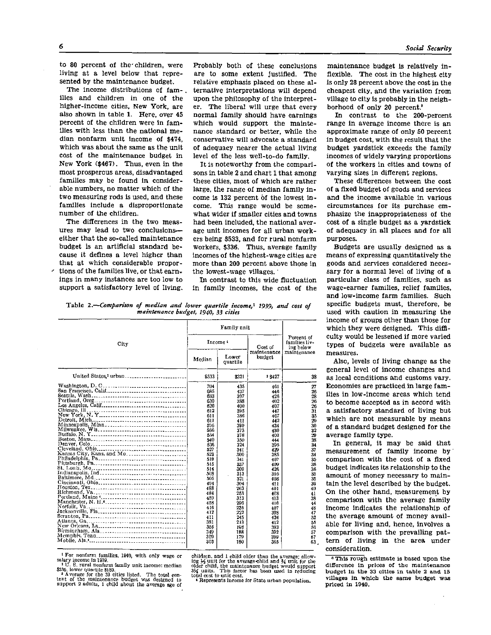to 80 percent of the children, were living at a level below that represented by the maintenance budget.

The income distributions of families and children in one of the higher-income cities, New York, are also shown in table 1. Here, over 45 percent of the children were in families with less than the national median nonfarm unit income of \$474, which was about the same as the unit cost of the maintenance budget in New York (\$467). Thus, even in the most prosperous areas, disadvantaged families may be found in considerable numbers, no matter which of the two measuring rods is used, and these families include a disproportionate number of the children.

The differences in the two measures may lead to two conclusions either that the so-called maintenance budget is an artificial standard because it defines a level higher than that at which considerable proportions of the families live, or that earnings in many instances are too low to support a satisfactory level of living. Probably both of these conclusions are to some extent justified. The relative emphasis placed on these alternative interpretations will depend upon the philosophy of the interpreter. The liberal will urge that every normal family should have earnings which would support the maintenance standard or better, while the conservative will advocate a standard of adequacy nearer the actual living level of the less well-to-do family.

It is noteworthy from the comparisons in table 2 and chart 1 that among these cities, most of which are rather large, the range of median family income is 132 percent of the lowest income. This range would be somewhat wider if smaller cities and towns had been included, the national average unit incomes for all urban workers being \$533, and for rural nonfarm workers, \$336. Thus, average family incomes of the highest-wage cities are more than 200 percent above those in the lowest-wage villages.

In contrast to this wide fluctuation in family incomes, the cost of the

Table 2.—*Comparison of median and lower quartile income,<sup>1</sup> 1939, and cost of maintenance budget, 1940, 33 cities* 

| City                                                                                                                | Income '                                                                                                                                                             |                                                                                                                                                                      | Cost of                                                                                                                                                              | Percent of<br>families liv-<br>ing below                                                                                                            |  |
|---------------------------------------------------------------------------------------------------------------------|----------------------------------------------------------------------------------------------------------------------------------------------------------------------|----------------------------------------------------------------------------------------------------------------------------------------------------------------------|----------------------------------------------------------------------------------------------------------------------------------------------------------------------|-----------------------------------------------------------------------------------------------------------------------------------------------------|--|
|                                                                                                                     | Median                                                                                                                                                               | Lower<br>quartile                                                                                                                                                    | maintenance<br>budget                                                                                                                                                | maintenance                                                                                                                                         |  |
| United States, urban                                                                                                | \$533                                                                                                                                                                | \$321                                                                                                                                                                | 3\$427                                                                                                                                                               | 38                                                                                                                                                  |  |
| Washington, $D, C_1, \ldots, C_n, C_2, \ldots, C_n$<br>Chicago, Ill.<br>Detroit, Mich<br>Kansas City, Kans. and Mo. | 704<br>685<br>633<br>630<br>620<br>612<br>611<br>611<br>596<br>566<br>554<br>540<br>536<br>527<br>523<br>510<br>515<br>514<br>508<br>505<br>494<br>488<br>484<br>459 | 435<br>437<br>397<br>388<br>400<br>395<br>336<br>411<br>300<br>373<br>578<br>350<br>324<br>341<br>300<br>341<br>337<br>309<br>313<br>321<br>304<br>263<br>253<br>313 | 461<br>446<br>426<br>402<br>407<br>447<br>467<br>442<br>434<br>430<br>403<br>444<br>395<br>429<br>335<br>407<br>409<br>426<br>395<br>408<br>411<br>401<br>408<br>413 | 27<br>26<br>$\frac{28}{26}$<br>26<br>31<br>35<br>29<br>30<br>32<br>29<br>38<br>34<br>37<br>34<br>35<br>36<br>36<br>35<br>35<br>30<br>40<br>41<br>38 |  |
|                                                                                                                     | 458<br>416<br>412<br>411<br>331<br>355<br>349<br>309<br>303                                                                                                          | 296<br>235<br>222<br>245<br>213<br>198<br>188<br>179<br>160                                                                                                          | 416<br>407<br>398<br>424<br>412<br>393<br>392<br>399<br>365                                                                                                          | 44<br>48<br>47<br>52<br>55<br>56<br>57<br>67<br>63                                                                                                  |  |

<sup>1</sup> For nonfarm families, 1940, with only wage or

salary income in 1939.<br>
<sup>2</sup> U. S. rural nonfarm family unit income: median<br>  $$336$ , lower quartile  $$180$ .<br>
<sup>3</sup> A verage for the 33 cities listed. The total content of the maintenance budget was designed to support 2 adults, 1 child about the average age of

children, and 1 child older than the average; allow-ing ½ unit for the average child and ¾ unit for the older child, the maintenance budget would support 3¼ units. This factor has been used in reducing total cost to unit cost.

4 Represents income for State urban population.

maintenance budget is relatively in flexible. The cost in the highest city is only 28 percent above the cost in the cheapest city, and the variation from village to city is probably in the neighborhood of only 20 percent.<sup>8</sup>

In contrast to the 200-percent range in average income there is an approximate range of only 50 percent in budget cost, with the result that the budget yardstick exceeds the family incomes of widely varying proportions of the workers in cities and towns of varying sizes in different regions.

These differences between the cost of a fixed budget of goods and services and the income available in various circumstances for its purchase emphasize the inappropriateness of the cost of a single budget as a yardstick of adequacy in all places and for all purposes.

Budgets are usually designed as a means of expressing quantitatively the goods and services considered necessary for a normal level of living of a particular class of families, such as wage-earner families, relief families, and low-income farm families. Such specific budgets must, therefore, be used with caution in measuring the income of groups other than those for which they were designed. This difficulty would be lessened if more varied types of budgets were available as measures.

Also, levels of living change as the general level of income changes and as local conditions and customs vary. Economies are practiced in large families in low-income areas which tend to become accepted as in accord with a satisfactory standard of living but which are not measurable by means of a standard budget designed for the average family type.

In general, it may be said that measurement of family income by comparison with the cost of a fixed budget indicates its relationship to the amount of money necessary to maintain the level described by the budget. On the other hand, measurement by comparison with the average family income indicates the relationship of the average amount of money available for living and, hence, involves a comparison with the prevailing pattern of living in the area under consideration.

3 This rough estimate is based upon the difference in prices of the maintenance budget in the 33 cities in table 2 and 15 villages in which the same budget was priced in 1940.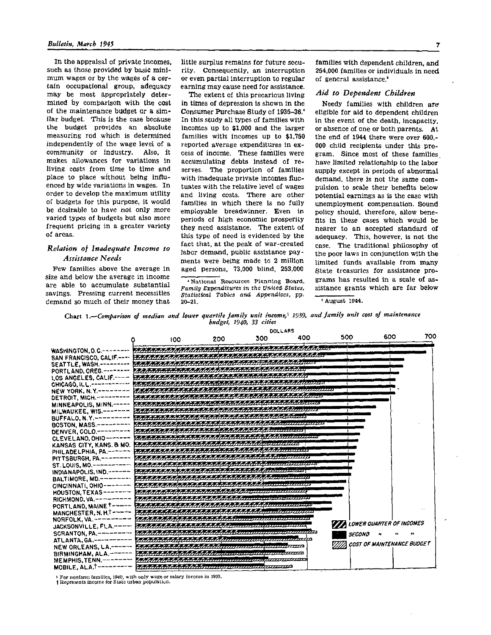In the appraisal of private incomes, such as those provided by basic minimum wages or by the wages of a certain occupational group, adequacy may be most appropriately determined by comparison with the cost of the maintenance budget Or a similar budget. This is the case because the budget provides an absolute measuring rod which is determined independently of the wage level of a community or industry. Also, it makes allowances for variations in living costs from time to time and place to place without being influenced by wide variations in wages. In order to develop the maximum utility of budgets for this purpose, it would be desirable to have not only more varied types of budgets but also more frequent pricing in a greater variety of areas.

# *Relation of inadequate Income to Assistance Needs*

Pew families above the average in size and below the average in income are able to accumulate substantial savings. Pressing current necessities demand so much of their money that

little surplus remains for future security. Consequently, an interruption or even partial interruption to regular earning may cause need for assistance.

The extent of this precarious living in times of depression is shown in the Consumer Purchase Study of 1935-36.<sup>4</sup> In this study all types of families with incomes up to \$1,000 and the larger families with incomes up to \$1,750 reported average expenditures in excess of income. These families were accumulating debts instead of reserves. The proportion of families with inadequate private incomes fluctuates with the relative level of wages and living costs. There are other families in which there is no fully employable breadwinner. Even in periods of high economic prosperity they need assistance. The extent of this type of need is evidenced by the fact that, at the peak of war-created labor demand, public assistance payments were being made to 2 million aged persons, 73,000 blind, 253,000

**<sup>4</sup> National Resources Planning Board,** *Family Expenditures in the United States, Statistical Tables and Appendices,* **pp. 20-21.** 

families with dependent children, and 254,000 families or individuals in need of general assistance.<sup>6</sup>

# *Aid to Dependent Children*

Needy families with children are eligible for aid to dependent children in the event of the death, incapacity, or absence of one or both parents. At the end of 1944 there were over 600,- 000 child recipients under this program. Since most of these families have limited relationship to the labor supply except in periods of abnormal demand, there is not the same compulsion to scale their benefits below potential earnings as is the case with unemployment compensation. Sound policy should, therefore, allow benefits in these cases which would be nearer to an accepted standard of adequacy. This, however, is not the case. The traditional philosophy of the poor laws in conjunction with the limited funds available from many State treasuries for assistance programs has resulted in a scale of assistance grants which are far below

**<sup>5</sup> August 1944.** 

Chart 1. Comparison of median and lower quartile family unit income,<sup>1</sup> 1939, and family unit cost of maintenance budget, 1940, 33 cities



**1 For nonfarm families, 1940, with only wage or salary income in 1939.** 

**t Represents income for State urban population.**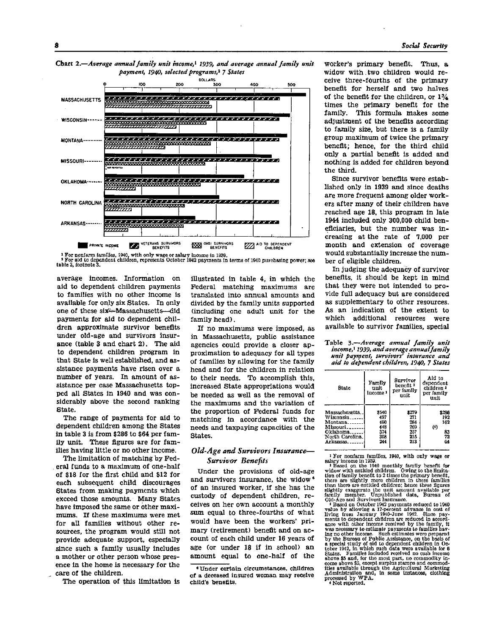

Chart **2.**—*Average annual family unit income,<sup>1</sup> 1939, and average annual family unit payment, 1940, selected programs,<sup>2</sup> 7 States* 

**1 For nonfarm families, 1940, with only wage or salary Income in 1939. 2 For aid to dependent children, represents October 1942 payments in terms of 1940 purchasing power; see table 3, footnote 3.** 

average incomes. Information on aid to dependent children payments to families with no other income is available for only six States. In only one of these six—Massachusetts—did payments for aid to dependent children approximate survivor benefits under old-age and survivors insurance (table 3 and chart 2). The aid to dependent children program in that State is well established, and assistance payments have risen over a number of years. In amount of assistance per case Massachusetts topped all States in 1940 and was considerably above the second ranking State.

The range of payments for aid to dependent children among the States in table 3 is from \$286 to \$64 per family unit. These figures are for families having little or no other income.

The limitation of matching by Federal funds to a maximum of one-half of \$18 for the first child and \$12 for each subsequent child discourages States from making payments which exceed those amounts. Many States have imposed the same or other maximums. If these maximums were met for all families without other resources, the program would still not provide adequate support, especially since such a family usually includes a mother or other person whose presence in the home is necessary for the care of the children.

The operation of this limitation is

illustrated in table 4, in which the Federal matching maximums are translated into annual amounts and divided by the family units supported (including one adult unit for the family head).

If no maximums were imposed, as in Massachusetts, public assistance agencies could provide a closer approximation to adequacy for all types of families by allowing for the family head and for the children in relation to their needs. To accomplish this, increased State appropriations would be needed as well as the removal of the maximums and the variation of the proportion of Federal funds for matching in accordance with the needs and taxpaying capacities of the States.

# *Old-Age and Survivors Insurance— Survivor Benefits*

Under the provisions of old-age and survivors insurance, the widow<sup>6</sup> of an insured worker, if she has the custody of dependent children, receives on her own account a monthly sum equal to three-fourths of what would have been the workers' primary (retirement) benefit and on account of each child under 16 years of age (or under 18 if in school) an amount equal to one-half of the worker's primary benefit. Thus, a widow with two children would receive three-fourths of the primary benefit for herself and two halves of the benefit for the children, or  $1\frac{3}{4}$ times the primary benefit for the family. This formula makes some adjustment of the benefits according to family size, but there is a family group maximum of twice the primary benefit; hence, for the third child only a partial benefit is added and nothing is added for children beyond the third.

Since survivor benefits were established only in 1939 and since deaths are more frequent among older workers after many of their children have reached age 18, this program in late 1944 included only 300,000 child beneficiaries, but the number was increasing at the rate of 7,000 per month and extension of coverage would substantially increase the number of eligible children.

In judging the adequacy of survivor benefits, it should be kept in mind that they were not intended to provide full adequacy but are considered as supplementary to other resources. As an indication of the extent to which additional resources were available to survivor families, special

#### Table 3.—*Average annual family unit income,<sup>1</sup> 1939, and average annual family unit payment, survivors' insurance and aid to dependent children, 1940, 7 States*

| Btate           | Family<br>unit<br>income l | Survivor<br>benefit '<br>per family<br>unit | Aid to<br>dependent<br>children *<br>per family<br>unit |  |  |
|-----------------|----------------------------|---------------------------------------------|---------------------------------------------------------|--|--|
| Massachusetts   | 8540                       | 8270                                        | \$250                                                   |  |  |
| Wisconsin       | 497                        | 271                                         | 192                                                     |  |  |
| $Montane$       | 490                        | 284                                         | 162                                                     |  |  |
| Missouri        | 448                        | 269                                         | $^{(4)}$                                                |  |  |
| Oklahoma        | 374                        | 257                                         | 83                                                      |  |  |
| North Carolina. | 308                        | 215                                         | 72                                                      |  |  |
| Arkansas.       | 244                        | 213                                         | 64                                                      |  |  |

1 For nonfarm families, 1940, with only wage or

salary income in 1939.<br> **These on the 1940 monthly family benefit for**<br> **Widow with entitled children.** Owing to the limita-<br>
widow with entitled children. Owing to the limita-<br>
there are slightly more children in these fa slightly exaggerate the unit amount available per family member. Unpublished data, Bureau of

Old-Age and Survivors Insurance. 3 Based on October 1942 payments reduced to 1940 value by allowing a 17-percent advance in cost of living from January 1940-June 1942. Since pay-ments to dependent children are reduced in accord-ance with other income received by the family, it and we measure to estimate payments to families have<br>the necessary to estimate payments to families have<br>by the Bureau of Public Assistance, on the basis of<br>by the Bureau of Public Assistance, on the basis of<br>a special stu above \$5 and, for the most part, no commodity in-<br>come above \$5, except surplus stamps and commodities<br>available through the Agricultural Marketing<br>Administration and, in some instances, clothing<br>processed by WPA. processeu  $\nu$ ,  $\ldots$ <br>(Not reported.

<sup>6</sup>Under certain circumstances, children of a deceased insured woman may receive child's benefits.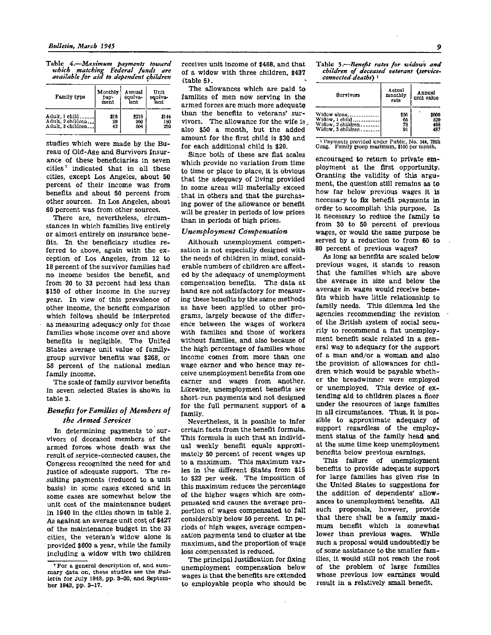Table 4.—*Maximum payments toward which matching Federal funds are available for aid to dependent children* 

| Family type       | Monthly | Annual  | Unit    |  |
|-------------------|---------|---------|---------|--|
|                   | pay-    | equiva- | equive- |  |
|                   | ment    | lent    | lent    |  |
| Adult, 1 child    | 818     | \$216   | \$144   |  |
| Adult, 2 children | 30      | 360     | 180     |  |
| Adult. 3 children | 42      | 604     | 202     |  |

studies which were made by the Bureau of Old-Age and Survivors Insurance of these beneficiaries in seven cities<sup>7</sup> indicated that in all these cities, except Los Angeles, about 50 percent of their income was from benefits and about 50 percent from other sources. In Los Angeles, about 60 percent was from other sources.

There are, nevertheless, circumstances in which families live entirely or almost entirely on insurance benefits. In the beneficiary studies referred to above, again with the exception of Los Angeles, from 12 to 18 percent of the survivor families had no income besides the benefit, and from 20 to 33 percent had less than \$150 of other income in the survey year. In view of this prevalence of other income, the benefit comparison which follows should be interpreted as measuring adequacy only for those families whose income over and above benefits is negligible. The United States average unit value of familygroup survivor benefits was \$268, or 58 percent of the national median family income.

The scale of family survivor benefits in seven selected States is shown in table 3.

# *Benefits for Families of Members of the Armed Services*

In determining payments to survivors of deceased members of the armed forces whose death was the result of service-connected causes, the Congress recognized the need for and justice of adequate support. The resulting payments (reduced to a unit basis) in some cases exceed and in some cases are somewhat below the unit cost of the maintenance budget in 1940 in the cities shown in table 2. As against an average unit cost of \$427 of the maintenance budget in the 33 cities, the veteran's widow alone is provided \$600 a year, while the family including a widow with two children receives unit income of \$468, and that of a widow with three children, \$437 (table 5).

The allowances which are paid to families of men now serving in the armed forces are much more adequate than the benefits to veterans' survivors. The allowance for the wife is also \$50 a month, but the added amount for the first child is \$30 and for each additional child is \$20.

Since both of these are flat scales which provide no variation from time to time or place to place, it is obvious that the adequacy of living provided in some areas will materially exceed that in others and that the purchasing power of the allowance or benefit will be greater in periods of low prices than in periods of high prices.

# *Unemployment Compensation*

Although unemployment compensation is not especially designed with the needs of children in mind, considerable numbers of children are affected by the adequacy of unemployment compensation benefits. The data at hand are not satisfactory for measuring these benefits by the same methods as have been applied to other programs, largely because of the difference between the wages of workers with families and those of workers without families, and also because of the high percentage of families whose income comes from more than one wage earner and who hence may receive unemployment benefits from one earner and wages from another. Likewise, unemployment benefits are short-run payments and not designed for the full permanent support of a family.

Nevertheless, it is possible to infer certain facts from the benefit formula. This formula is such that an individual weekly benefit equals approximately 50 percent of recent wages up to a maximum. This maximum varies in the different States from \$15 to \$22 per week. The imposition of this maximum reduces the percentage of the higher wages which are compensated and causes the average proportion of wages compensated to fall considerably below 50 percent. In periods of high wages, average compensation payments tend to cluster at the maximum, and the proportion of wage loss compensated is reduced.

The principal justification for fixing unemployment compensation below wages is that the benefits are extended to employable people who should be Table 5.—*Benefit rates for widows and children of deceased veterans (serviceconnected deaths) <sup>1</sup>*

| Survivors         | Actual<br>monthly<br>rate | Annual<br>unit value |
|-------------------|---------------------------|----------------------|
| Widow alone       | \$50                      | \$600                |
| Widow, 1 child    | 65                        | 520                  |
| Widow, 2 children | 73                        | 468                  |
| Widow, 3 children | 91                        | 437                  |

1 Payments provided under Public, No. 144, 78th Cong. Family group maximum, \$100 per month.

encouraged to return to private employment at the first opportunity. Granting the validity of this argument, the question still remains as to how far below previous wages it is necessary to fix benefit payments in order to accomplish this purpose. Is it necessary to reduce the family to from 30 to 50 percent of previous wages, or would the same purpose be served by a reduction to from 60 to 80 percent of previous wages?

As long as benefits are scaled below previous wages, it stands to reason that the families which are above the average in size and below the average in wages would receive benefits which have little relationship to family needs. This dilemma led the agencies recommending the revision of the British system of social security to recommend a flat unemployment benefit scale related in a general way to adequacy for the support of a man and/or a woman and also the provision of allowances for children which would be payable whether the breadwinner were employed or unemployed. This device of extending aid to children places a floor under the resources of large families in all circumstances. Thus, it is possible to approximate adequacy of support regardless of the employment status of the family head and at the same time keep unemployment benefits below previous earnings.

This failure of unemployment benefits to provide adequate support for large families has given rise in the United States to suggestions for the addition of dependents' allowances to unemployment benefits. All such proposals, however, provide that there shall be a family maximum benefit which is somewhat lower than previous wages. While such a proposal would undoubtedly be of some assistance to the smaller families, it would still not reach the root of the problem of large families whose previous low earnings would result in a relatively small benefit.

<sup>&</sup>lt;sup>7</sup> For a general description of, and sum-<br>mary data on, these studies see the  $Bul$ letin for July 1943, pp. 3-20, and September 1943, pp. 3-17.